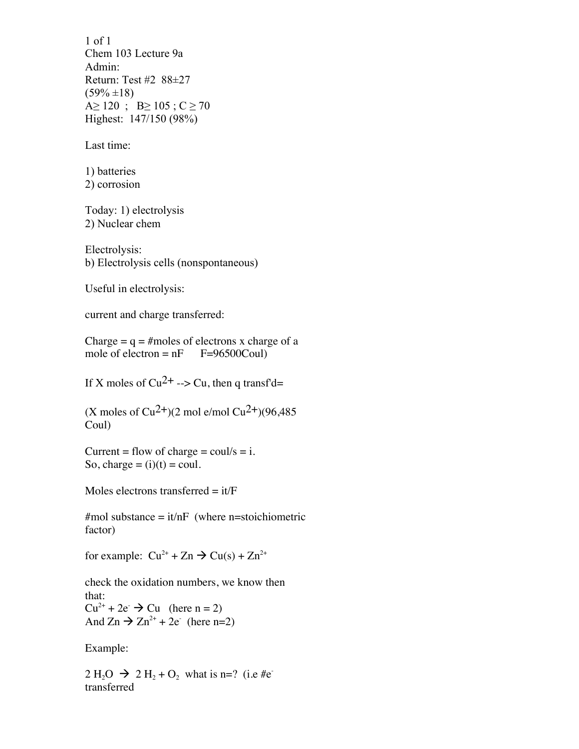1 of 1 Chem 103 Lecture 9a Admin: Return: Test #2 88±27  $(59\% \pm 18)$ A  $\geq$  120; B  $\geq$  105; C  $\geq$  70 Highest: 147/150 (98%)

Last time:

1) batteries 2) corrosion

Today: 1) electrolysis 2) Nuclear chem

Electrolysis: b) Electrolysis cells (nonspontaneous)

Useful in electrolysis:

current and charge transferred:

Charge  $= q = \text{\#moles of electrons x charge of a}$ mole of electron =  $nF = 96500Coul$ 

If X moles of  $Cu^{2+} \rightarrow Cu$ , then q transf'd=

(X moles of  $Cu^{2+}$ )(2 mol e/mol  $Cu^{2+}$ )(96,485) Coul)

Current = flow of charge =  $\text{coul/s} = i$ . So, charge  $=$  (i)(t)  $=$  coul.

Moles electrons transferred  $=$  it/ $\overline{F}$ 

 $\text{\#mol substance} = i\text{t/nF}$  (where n=stoichiometric factor)

for example:  $Cu^{2+} + Zn \rightarrow Cu(s) + Zn^{2+}$ 

check the oxidation numbers, we know then that:  $Cu^{2+} + 2e^ \rightarrow$  Cu (here n = 2) And  $Zn \rightarrow Zn^{2+} + 2e^-$  (here n=2)

Example:

 $2 \text{ H}_2\text{O} \rightarrow 2 \text{ H}_2 + \text{O}_2$  what is n=? (i.e #etransferred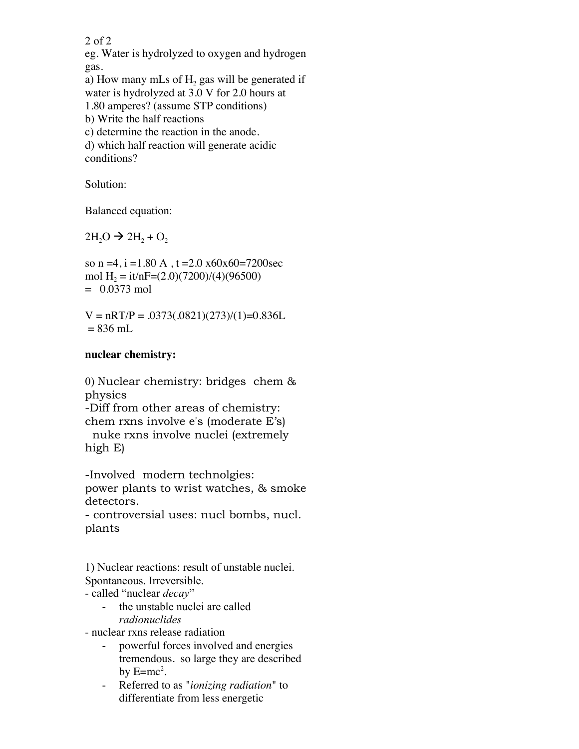2 of 2

eg. Water is hydrolyzed to oxygen and hydrogen gas.

a) How many mLs of  $H<sub>2</sub>$  gas will be generated if water is hydrolyzed at 3.0 V for 2.0 hours at 1.80 amperes? (assume STP conditions) b) Write the half reactions c) determine the reaction in the anode.

d) which half reaction will generate acidic conditions?

Solution:

Balanced equation:

 $2H<sub>2</sub>O \rightarrow 2H<sub>2</sub> + O<sub>2</sub>$ 

so n =4, i =1.80 A, t =2.0  $x60x60=7200$  sec mol H<sub>2</sub> = it/nF=(2.0)(7200)/(4)(96500)  $= 0.0373$  mol

 $V = nRT/P = .0373(.0821)(273)/(1) = 0.836L$  $= 836$  mL

## **nuclear chemistry:**

0) Nuclear chemistry: bridges chem & physics -Diff from other areas of chemistry: chem rxns involve e's (moderate E's) nuke rxns involve nuclei (extremely high E)

-Involved modern technolgies: power plants to wrist watches, & smoke detectors.

- controversial uses: nucl bombs, nucl. plants

1) Nuclear reactions: result of unstable nuclei. Spontaneous. Irreversible.

- called "nuclear *decay*"

- the unstable nuclei are called *radionuclides*
- nuclear rxns release radiation
	- powerful forces involved and energies tremendous. so large they are described by  $E=mc^2$ .
	- Referred to as "*ionizing radiation*" to differentiate from less energetic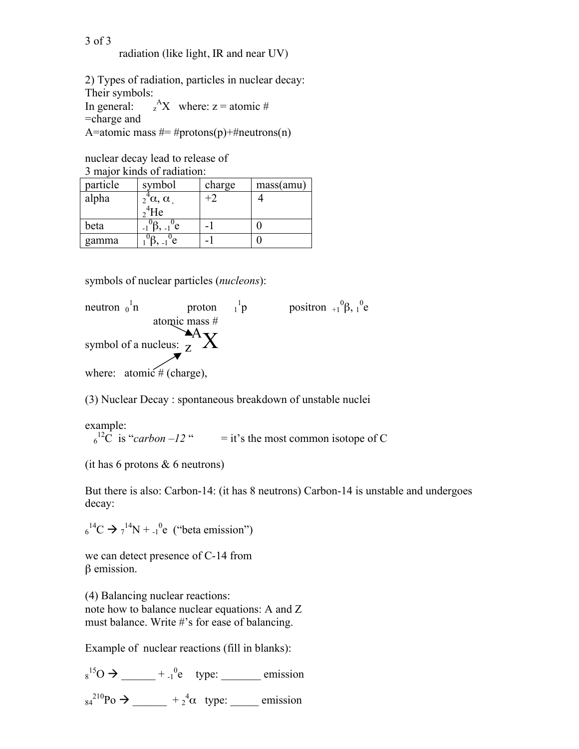## 3 of 3 radiation (like light, IR and near UV)

2) Types of radiation, particles in nuclear decay: Their symbols: In general:  $_{z}^{A}X$  where: z = atomic # =charge and A=atomic mass  $# = #protons(p) + #neutrons(n)$ 

nuclear decay lead to release of 3 major kinds of radiation:

| 3 major kings of faqiation. |                                        |        |           |
|-----------------------------|----------------------------------------|--------|-----------|
| particle                    | symbol                                 | charge | mass(amu) |
| alpha                       |                                        | $+2$   |           |
|                             | $2^{4}\alpha$ , $\alpha$<br>$2^{4}$ He |        |           |
| beta                        | $1^{\circ}$ e                          |        |           |
| gamma                       | Έ                                      |        |           |

symbols of nuclear particles (*nucleons*):

neutron  $_0^1$ n proton  $1^1$ p positron  $+1^0$  $\beta$ ,  $1^0$ e atomic mass # symbol of a nucleus:  $\frac{A}{z}X$ where:  $atomic \# (charge)$ ,

(3) Nuclear Decay : spontaneous breakdown of unstable nuclei

example:  $6^{12}$ C is "*carbon –12*" = it's the most common isotope of C

(it has 6 protons & 6 neutrons)

But there is also: Carbon-14: (it has 8 neutrons) Carbon-14 is unstable and undergoes decay:

 $6^{14}C \rightarrow 7^{14}N + 1^{0}e$  ("beta emission")

we can detect presence of C-14 from β emission.

(4) Balancing nuclear reactions: note how to balance nuclear equations: A and Z must balance. Write #'s for ease of balancing.

Example of nuclear reactions (fill in blanks):

 $s^{15}O \rightarrow \_\_\_\_\_+^0e$  type: emission  $a_4^{210}Po \rightarrow \underline{\hspace{1cm}} + 2^4\alpha$  type: \_\_\_\_\_\_ emission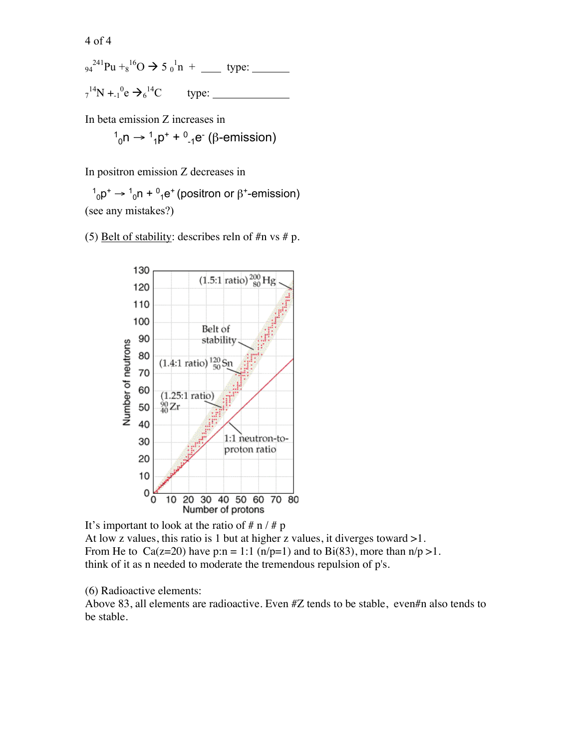4 of 4

$$
_{94}^{241}
$$
Pu +<sub>8</sub><sup>16</sup>O  $\rightarrow$  5<sub>0</sub><sup>1</sup>n + … type:  
\n<sub>7</sub><sup>14</sup>N +<sub>-1</sub><sup>0</sup>e  $\rightarrow_6^{14}$ C type: \_\_\_\_\_\_\_

In beta emission Z increases in

$$
{}^{1}_{0}n \rightarrow {}^{1}_{1}p^{+} + {}^{0}_{-1}e^{-}
$$
 (β-emission)

In positron emission Z decreases in

(see any mistakes?)  $1<sub>0</sub>$ p<sup>+</sup> →  $1<sub>0</sub>$ n +  $0<sub>1</sub>$ e<sup>+</sup> (positron or β<sup>+</sup>-emission)

(5) Belt of stability: describes reln of  $\#n$  vs  $\#p$ .



It's important to look at the ratio of  $# n / # p$ At low z values, this ratio is 1 but at higher z values, it diverges toward >1. From He to Ca(z=20) have p:n = 1:1 (n/p=1) and to Bi(83), more than  $n/p > 1$ . think of it as n needed to moderate the tremendous repulsion of p's.

(6) Radioactive elements:

Above 83, all elements are radioactive. Even #Z tends to be stable, even#n also tends to be stable.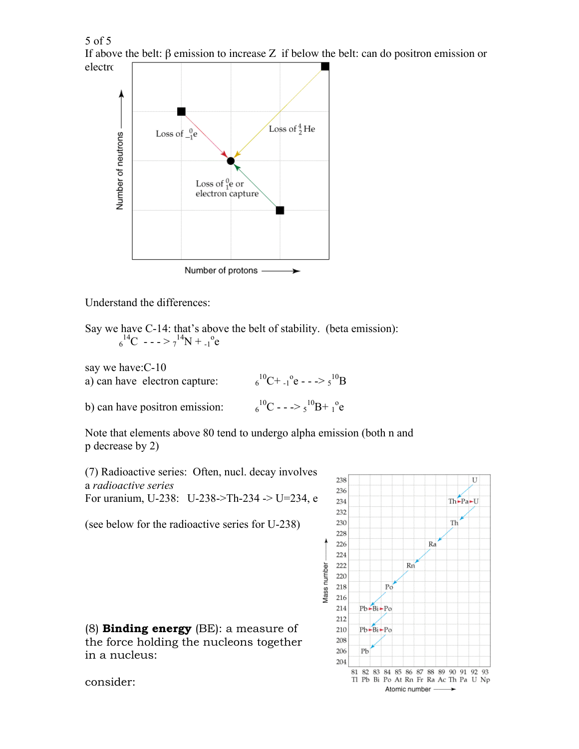5 of 5 If above the belt: β emission to increase Z if below the belt: can do positron emission or electron



Understand the differences:

Say we have C-14: that's above the belt of stability. (beta emission):  $6^{14}C$  - - - >  $7^{14}N + 1^{0}e$ 

say we have:C-10 a) can have electron capture:  ${}^{10}C+{}_{-1}{}^{0}e$  - - ->  $5{}^{10}B$ 

b) can have positron emission: <sup>6</sup>  $^{10}C$  - - ->  $_5$  $^{10}B + 1$ <sup>o</sup>e

Note that elements above 80 tend to undergo alpha emission (both n and p decrease by 2)

(7) Radioactive series: Often, nucl. decay involves a *radioactive series* For uranium, U-238: U-238->Th-234 -> U=234, e

(see below for the radioactive series for U-238)

(8) **Binding energy** (BE): a measure of the force holding the nucleons together in a nucleus:



consider: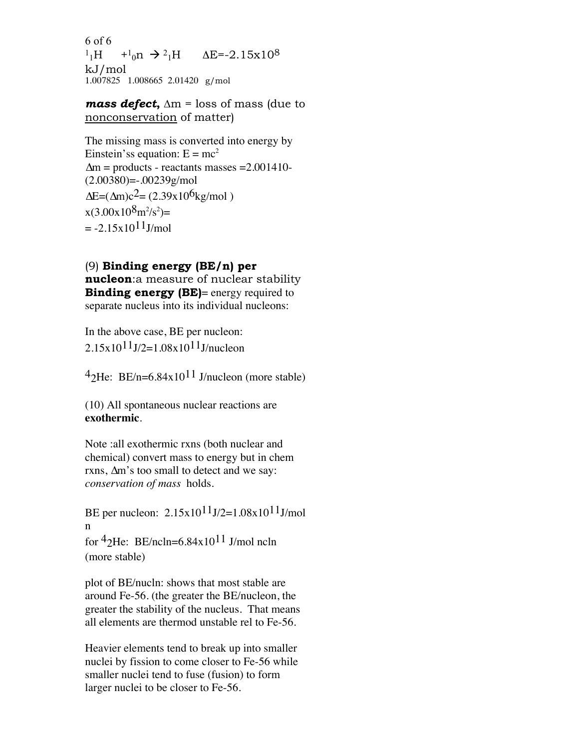6 of 6  $^{1}$ <sub>1</sub>H +<sup>1</sup><sub>0</sub>n  $\rightarrow$  <sup>2</sup><sub>1</sub>H  $\Delta$ E=-2.15x10<sup>8</sup> kJ/mol 1.007825 1.008665 2.01420 g/mol

*mass defect***,** ∆m = loss of mass (due to nonconservation of matter)

The missing mass is converted into energy by Einstein's equation:  $E = mc^2$  $\Delta m$  = products - reactants masses = 2.001410- $(2.00380) = .00239g/mol$  $\Delta E = (\Delta m)c^2 = (2.39x10^6kg/mol)$  $x(3.00x10^8m^2/s^2)$ =  $= -2.15x10^{11}$ J/mol

## (9) **Binding energy (BE/n) per**

**nucleon**:a measure of nuclear stability **Binding energy (BE)**= energy required to separate nucleus into its individual nucleons:

In the above case, BE per nucleon:  $2.15x10^{11}J/2=1.08x10^{11}J/nucleon$ 

 $42$ He: BE/n=6.84x10<sup>11</sup> J/nucleon (more stable)

(10) All spontaneous nuclear reactions are **exothermic**.

Note :all exothermic rxns (both nuclear and chemical) convert mass to energy but in chem rxns, ∆m's too small to detect and we say: *conservation of mass* holds.

BE per nucleon:  $2.15x10^{11}J/2=1.08x10^{11}J/mol$ n for  $42$ He: BE/ncln=6.84x10<sup>11</sup> J/mol ncln (more stable)

plot of BE/nucln: shows that most stable are around Fe-56. (the greater the BE/nucleon, the greater the stability of the nucleus. That means all elements are thermod unstable rel to Fe-56.

Heavier elements tend to break up into smaller nuclei by fission to come closer to Fe-56 while smaller nuclei tend to fuse (fusion) to form larger nuclei to be closer to Fe-56.